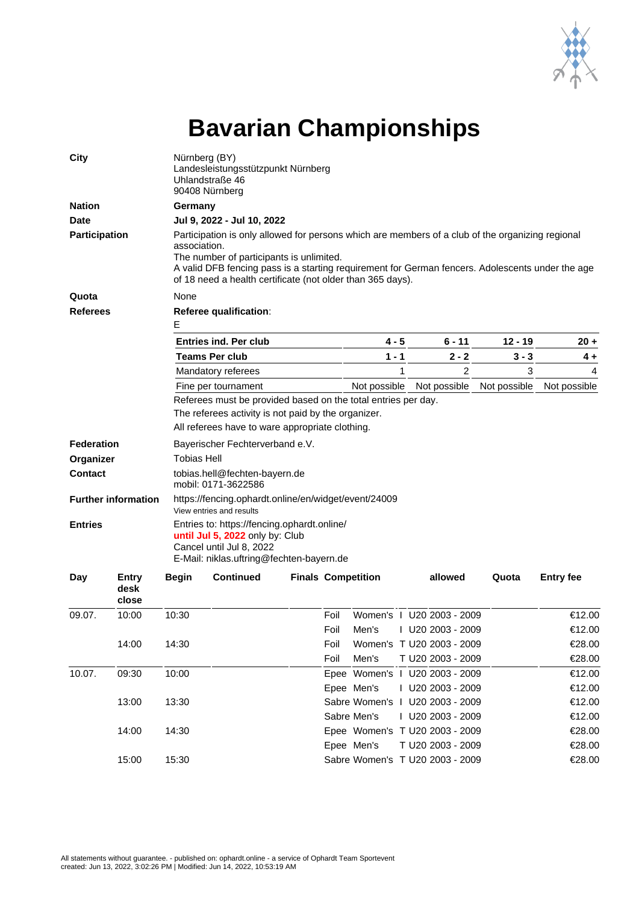

## **Bavarian Championships**

| City                                             |                        | Nürnberg (BY)<br>Landesleistungsstützpunkt Nürnberg<br>Uhlandstraße 46<br>90408 Nürnberg                                                                                                                                                                                                                                                                     |                              |  |      |                           |              |                                |              |                  |  |  |       |
|--------------------------------------------------|------------------------|--------------------------------------------------------------------------------------------------------------------------------------------------------------------------------------------------------------------------------------------------------------------------------------------------------------------------------------------------------------|------------------------------|--|------|---------------------------|--------------|--------------------------------|--------------|------------------|--|--|-------|
| <b>Nation</b>                                    |                        | Germany                                                                                                                                                                                                                                                                                                                                                      |                              |  |      |                           |              |                                |              |                  |  |  |       |
| <b>Date</b><br>Participation                     |                        | Jul 9, 2022 - Jul 10, 2022<br>Participation is only allowed for persons which are members of a club of the organizing regional<br>association.<br>The number of participants is unlimited.<br>A valid DFB fencing pass is a starting requirement for German fencers. Adolescents under the age<br>of 18 need a health certificate (not older than 365 days). |                              |  |      |                           |              |                                |              |                  |  |  |       |
|                                                  |                        |                                                                                                                                                                                                                                                                                                                                                              |                              |  |      |                           |              |                                |              |                  |  |  | Quota |
| <b>Referees</b>                                  |                        | Referee qualification:<br>Е                                                                                                                                                                                                                                                                                                                                  |                              |  |      |                           |              |                                |              |                  |  |  |       |
|                                                  |                        |                                                                                                                                                                                                                                                                                                                                                              | <b>Entries ind. Per club</b> |  |      |                           | 4 - 5        | $6 - 11$                       | $12 - 19$    | $20 +$           |  |  |       |
|                                                  |                        |                                                                                                                                                                                                                                                                                                                                                              | <b>Teams Per club</b>        |  |      |                           | $1 - 1$      | $2 - 2$                        | $3 - 3$      | $4+$             |  |  |       |
|                                                  |                        |                                                                                                                                                                                                                                                                                                                                                              | Mandatory referees           |  |      |                           | $\mathbf{1}$ | $\overline{2}$                 | 3            | 4                |  |  |       |
|                                                  |                        | Fine per tournament                                                                                                                                                                                                                                                                                                                                          |                              |  |      | Not possible              |              | Not possible                   | Not possible | Not possible     |  |  |       |
| <b>Federation</b><br>Organizer<br><b>Contact</b> |                        | The referees activity is not paid by the organizer.<br>All referees have to ware appropriate clothing.<br>Bayerischer Fechterverband e.V.<br><b>Tobias Hell</b><br>tobias.hell@fechten-bayern.de                                                                                                                                                             |                              |  |      |                           |              |                                |              |                  |  |  |       |
|                                                  |                        | mobil: 0171-3622586                                                                                                                                                                                                                                                                                                                                          |                              |  |      |                           |              |                                |              |                  |  |  |       |
| <b>Further information</b>                       |                        | https://fencing.ophardt.online/en/widget/event/24009<br>View entries and results                                                                                                                                                                                                                                                                             |                              |  |      |                           |              |                                |              |                  |  |  |       |
| <b>Entries</b>                                   |                        | Entries to: https://fencing.ophardt.online/<br>until Jul 5, 2022 only by: Club<br>Cancel until Jul 8, 2022<br>E-Mail: niklas.uftring@fechten-bayern.de                                                                                                                                                                                                       |                              |  |      |                           |              |                                |              |                  |  |  |       |
| Day                                              | Entry<br>desk<br>close | <b>Begin</b>                                                                                                                                                                                                                                                                                                                                                 | <b>Continued</b>             |  |      | <b>Finals Competition</b> |              | allowed                        | Quota        | <b>Entry fee</b> |  |  |       |
| 09.07.                                           | 10:00                  | 10:30                                                                                                                                                                                                                                                                                                                                                        |                              |  | Foil |                           |              | Women's   U20 2003 - 2009      |              | €12.00           |  |  |       |
|                                                  |                        |                                                                                                                                                                                                                                                                                                                                                              |                              |  | Foil | Men's                     |              | I U20 2003 - 2009              |              | €12.00           |  |  |       |
|                                                  | 14:00                  | 14:30                                                                                                                                                                                                                                                                                                                                                        |                              |  | Foil |                           |              | Women's T U20 2003 - 2009      |              | €28.00           |  |  |       |
|                                                  |                        |                                                                                                                                                                                                                                                                                                                                                              |                              |  | Foil | Men's                     |              | T U20 2003 - 2009              |              | €28.00           |  |  |       |
| 10.07.                                           | 09:30                  | 10:00                                                                                                                                                                                                                                                                                                                                                        |                              |  |      |                           |              | Epee Women's   U20 2003 - 2009 |              | €12.00           |  |  |       |
|                                                  |                        |                                                                                                                                                                                                                                                                                                                                                              |                              |  |      | Epee Men's                |              | I U20 2003 - 2009              |              | €12.00           |  |  |       |

13:00 13:30 Sabre Women's I U20 2003 - 2009 €12.00

14:00 14:30 Epee Women's T U20 2003 - 2009 €28.00

15:00 15:30 Sabre Women's T U20 2003 - 2009 €28.00

Sabre Men's 1 U20 2003 - 2009 €12.00

Epee Men's T U20 2003 - 2009 €28.00